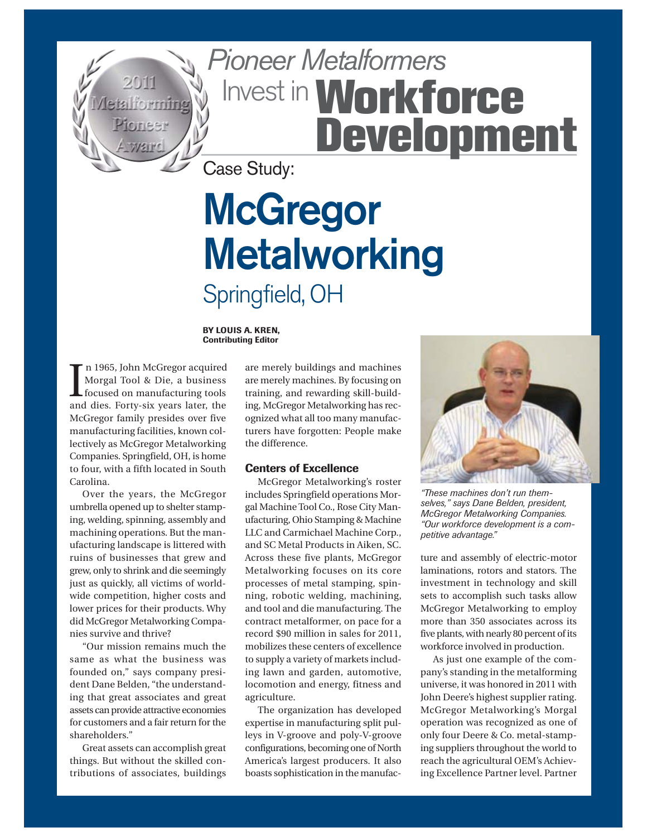

# Pioneer Metalformers Invest in **Workforce Development**

Case Study:

## **McGregor Metalworking** Springfield, OH

**BY LOUIS A. KREN, Contributing Editor**

I n 1965, John McGregor acquired Morgal Tool & Die, a business focused on manufacturing tools and dies. Forty-six years later, the McGregor family presides over five manufacturing facilities, known collectively as McGregor Metalworking Companies. Springfield, OH, is home to four, with a fifth located in South Carolina.

Over the years, the McGregor umbrella opened up to shelter stamping, welding, spinning, assembly and machining operations. But the manufacturing landscape is littered with ruins of businesses that grew and grew, only to shrink and die seemingly just as quickly, all victims of worldwide competition, higher costs and lower prices for their products. Why did McGregor Metalworking Companies survive and thrive?

"Our mission remains much the same as what the business was founded on," says company president Dane Belden, "the understanding that great associates and great assets can provide attractive economies for customers and a fair return for the shareholders."

Great assets can accomplish great things. But without the skilled contributions of associates, buildings

are merely buildings and machines are merely machines. By focusing on training, and rewarding skill-building, McGregor Metalworking has recognized what all too many manufacturers have forgotten: People make the difference.

#### **Centers of Excellence**

McGregor Metalworking's roster includes Springfield operations Morgal Machine Tool Co., Rose City Manufacturing, Ohio Stamping & Machine LLC and Carmichael Machine Corp., and SC Metal Products in Aiken, SC. Across these five plants, McGregor Metalworking focuses on its core processes of metal stamping, spinning, robotic welding, machining, and tool and die manufacturing. The contract metalformer, on pace for a record \$90 million in sales for 2011, mobilizes these centers of excellence to supply a variety of markets including lawn and garden, automotive, locomotion and energy, fitness and agriculture.

The organization has developed expertise in manufacturing split pulleys in V-groove and poly-V-groove configurations, becoming one of North America's largest producers. It also boasts sophistication in the manufac-



*"These machines don't run themselves," says Dane Belden, president, McGregor Metalworking Companies. "Our workforce development is a competitive advantage."* 

ture and assembly of electric-motor laminations, rotors and stators. The investment in technology and skill sets to accomplish such tasks allow McGregor Metalworking to employ more than 350 associates across its five plants, with nearly 80 percent of its workforce involved in production.

As just one example of the company's standing in the metalforming universe, it was honored in 2011 with John Deere's highest supplier rating. McGregor Metalworking's Morgal operation was recognized as one of only four Deere & Co. metal-stamping suppliers throughout the world to reach the agricultural OEM's Achieving Excellence Partner level. Partner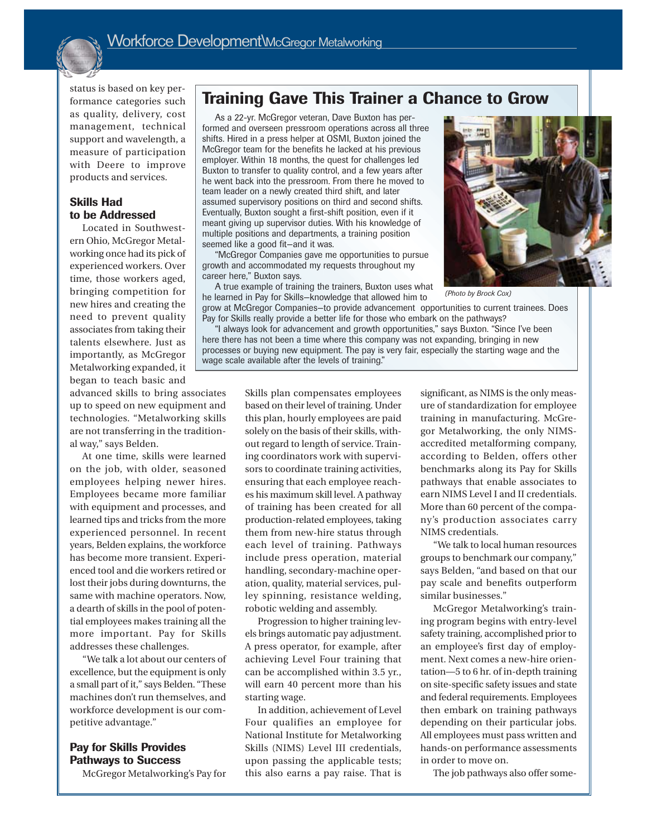

status is based on key performance categories such as quality, delivery, cost management, technical support and wavelength, a measure of participation with Deere to improve products and services.

#### **Skills Had to be Addressed**

Located in Southwestern Ohio, McGregor Metalworking once had its pick of experienced workers. Over time, those workers aged, bringing competition for new hires and creating the need to prevent quality associates from taking their talents elsewhere. Just as importantly, as McGregor Metalworking expanded, it began to teach basic and

advanced skills to bring associates up to speed on new equipment and technologies. "Metalworking skills are not transferring in the traditional way," says Belden.

At one time, skills were learned on the job, with older, seasoned employees helping newer hires. Employees became more familiar with equipment and processes, and learned tips and tricks from the more experienced personnel. In recent years, Belden explains, the workforce has become more transient. Experienced tool and die workers retired or lost their jobs during downturns, the same with machine operators. Now, a dearth of skills in the pool of potential employees makes training all the more important. Pay for Skills addresses these challenges.

"We talk a lot about our centers of excellence, but the equipment is only a small part of it," says Belden. "These machines don't run themselves, and workforce development is our competitive advantage."

#### **Pay for Skills Provides Pathways to Success**

McGregor Metalworking's Pay for

## **Training Gave This Trainer a Chance to Grow**

As a 22-yr. McGregor veteran, Dave Buxton has performed and overseen pressroom operations across all three shifts. Hired in a press helper at OSMI, Buxton joined the McGregor team for the benefits he lacked at his previous employer. Within 18 months, the quest for challenges led Buxton to transfer to quality control, and a few years after he went back into the pressroom. From there he moved to team leader on a newly created third shift, and later assumed supervisory positions on third and second shifts. Eventually, Buxton sought a first-shift position, even if it meant giving up supervisor duties. With his knowledge of multiple positions and departments, a training position seemed like a good fit—and it was.

"McGregor Companies gave me opportunities to pursue growth and accommodated my requests throughout my career here," Buxton says.

A true example of training the trainers, Buxton uses what he learned in Pay for Skills—knowledge that allowed him to grow at McGregor Companies—to provide advancement opportunities to current trainees. Does



*(Photo by Brock Cox)*

Pay for Skills really provide a better life for those who embark on the pathways? "I always look for advancement and growth opportunities," says Buxton. "Since I've been here there has not been a time where this company was not expanding, bringing in new processes or buying new equipment. The pay is very fair, especially the starting wage and the wage scale available after the levels of training."

> Skills plan compensates employees based on their level of training. Under this plan, hourly employees are paid solely on the basis of their skills, without regard to length of service. Training coordinators work with supervisors to coordinate training activities, ensuring that each employee reaches his maximum skill level. A pathway of training has been created for all production-related employees, taking them from new-hire status through each level of training. Pathways include press operation, material handling, secondary-machine operation, quality, material services, pulley spinning, resistance welding, robotic welding and assembly.

> Progression to higher training levels brings automatic pay adjustment. A press operator, for example, after achieving Level Four training that can be accomplished within 3.5 yr., will earn 40 percent more than his starting wage.

> In addition, achievement of Level Four qualifies an employee for National Institute for Metalworking Skills (NIMS) Level III credentials, upon passing the applicable tests; this also earns a pay raise. That is

significant, as NIMS is the only measure of standardization for employee training in manufacturing. McGregor Metalworking, the only NIMSaccredited metalforming company, according to Belden, offers other benchmarks along its Pay for Skills pathways that enable associates to earn NIMS Level I and II credentials. More than 60 percent of the company's production associates carry NIMS credentials.

"We talk to local human resources groups to benchmark our company," says Belden, "and based on that our pay scale and benefits outperform similar businesses."

McGregor Metalworking's training program begins with entry-level safety training, accomplished prior to an employee's first day of employment. Next comes a new-hire orientation—5 to 6 hr. of in-depth training on site-specific safety issues and state and federal requirements. Employees then embark on training pathways depending on their particular jobs. All employees must pass written and hands-on performance assessments in order to move on.

The job pathways also offer some-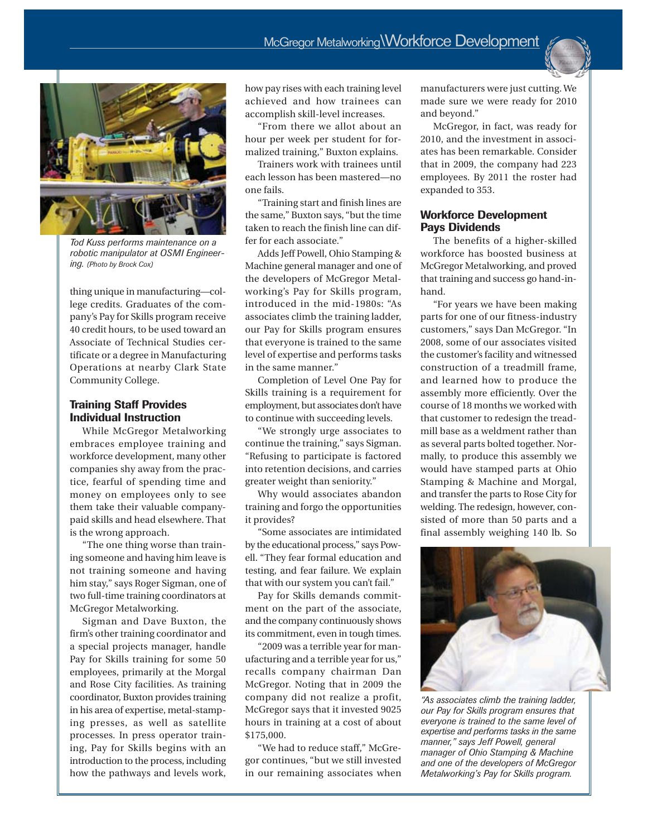

*Tod Kuss performs maintenance on a robotic manipulator at OSMI Engineering. (Photo by Brock Cox)*

thing unique in manufacturing—college credits. Graduates of the company's Pay for Skills program receive 40 credit hours, to be used toward an Associate of Technical Studies certificate or a degree in Manufacturing Operations at nearby Clark State Community College.

#### **Training Staff Provides Individual Instruction**

While McGregor Metalworking embraces employee training and workforce development, many other companies shy away from the practice, fearful of spending time and money on employees only to see them take their valuable companypaid skills and head elsewhere. That is the wrong approach.

"The one thing worse than training someone and having him leave is not training someone and having him stay," says Roger Sigman, one of two full-time training coordinators at McGregor Metalworking.

Sigman and Dave Buxton, the firm's other training coordinator and a special projects manager, handle Pay for Skills training for some 50 employees, primarily at the Morgal and Rose City facilities. As training coordinator, Buxton provides training in his area of expertise, metal-stamping presses, as well as satellite processes. In press operator training, Pay for Skills begins with an introduction to the process, including how the pathways and levels work,

how pay rises with each training level achieved and how trainees can accomplish skill-level increases.

"From there we allot about an hour per week per student for formalized training," Buxton explains.

Trainers work with trainees until each lesson has been mastered—no one fails.

"Training start and finish lines are the same," Buxton says, "but the time taken to reach the finish line can differ for each associate."

Adds Jeff Powell, Ohio Stamping & Machine general manager and one of the developers of McGregor Metalworking's Pay for Skills program, introduced in the mid-1980s: "As associates climb the training ladder, our Pay for Skills program ensures that everyone is trained to the same level of expertise and performs tasks in the same manner."

Completion of Level One Pay for Skills training is a requirement for employment, but associates don't have to continue with succeeding levels.

"We strongly urge associates to continue the training," says Sigman. "Refusing to participate is factored into retention decisions, and carries greater weight than seniority."

Why would associates abandon training and forgo the opportunities it provides?

"Some associates are intimidated by the educational process," says Powell. "They fear formal education and testing, and fear failure. We explain that with our system you can't fail."

Pay for Skills demands commitment on the part of the associate, and the company continuously shows its commitment, even in tough times.

"2009 was a terrible year for manufacturing and a terrible year for us," recalls company chairman Dan McGregor. Noting that in 2009 the company did not realize a profit, McGregor says that it invested 9025 hours in training at a cost of about \$175,000.

"We had to reduce staff," McGregor continues, "but we still invested in our remaining associates when manufacturers were just cutting. We made sure we were ready for 2010 and beyond."

McGregor, in fact, was ready for 2010, and the investment in associates has been remarkable. Consider that in 2009, the company had 223 employees. By 2011 the roster had expanded to 353.

#### **Workforce Development Pays Dividends**

The benefits of a higher-skilled workforce has boosted business at McGregor Metalworking, and proved that training and success go hand-inhand.

"For years we have been making parts for one of our fitness-industry customers," says Dan McGregor. "In 2008, some of our associates visited the customer's facility and witnessed construction of a treadmill frame, and learned how to produce the assembly more efficiently. Over the course of 18 months we worked with that customer to redesign the treadmill base as a weldment rather than as several parts bolted together. Normally, to produce this assembly we would have stamped parts at Ohio Stamping & Machine and Morgal, and transfer the parts to Rose City for welding. The redesign, however, consisted of more than 50 parts and a final assembly weighing 140 lb. So



*"As associates climb the training ladder, our Pay for Skills program ensures that everyone is trained to the same level of expertise and performs tasks in the same manner," says Jeff Powell, general manager of Ohio Stamping & Machine and one of the developers of McGregor Metalworking's Pay for Skills program.*